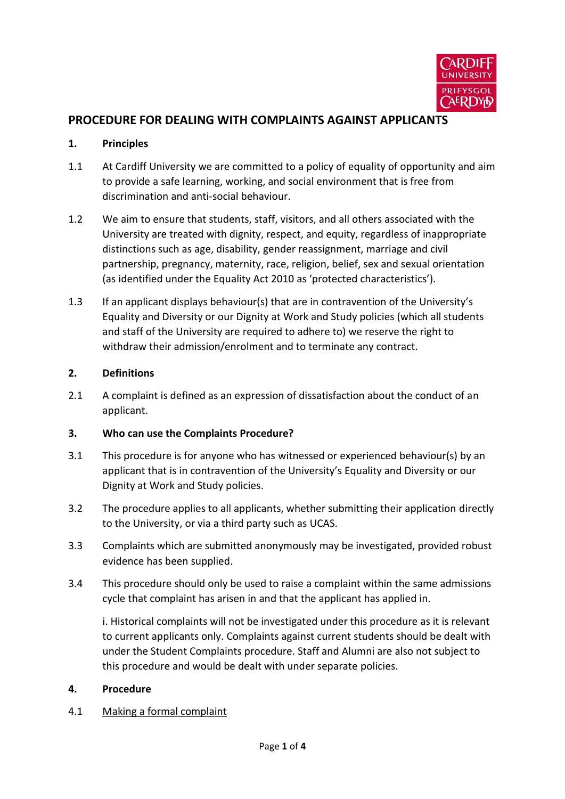

# **PROCEDURE FOR DEALING WITH COMPLAINTS AGAINST APPLICANTS**

#### **1. Principles**

- 1.1 At Cardiff University we are committed to a policy of equality of opportunity and aim to provide a safe learning, working, and social environment that is free from discrimination and anti-social behaviour.
- 1.2 We aim to ensure that students, staff, visitors, and all others associated with the University are treated with dignity, respect, and equity, regardless of inappropriate distinctions such as age, disability, gender reassignment, marriage and civil partnership, pregnancy, maternity, race, religion, belief, sex and sexual orientation (as identified under the Equality Act 2010 as 'protected characteristics').
- 1.3 If an applicant displays behaviour(s) that are in contravention of the University's Equality and Diversity or our Dignity at Work and Study policies (which all students and staff of the University are required to adhere to) we reserve the right to withdraw their admission/enrolment and to terminate any contract.

### **2. Definitions**

2.1 A complaint is defined as an expression of dissatisfaction about the conduct of an applicant.

### **3. Who can use the Complaints Procedure?**

- 3.1 This procedure is for anyone who has witnessed or experienced behaviour(s) by an applicant that is in contravention of the University's Equality and Diversity or our Dignity at Work and Study policies.
- 3.2 The procedure applies to all applicants, whether submitting their application directly to the University, or via a third party such as UCAS.
- 3.3 Complaints which are submitted anonymously may be investigated, provided robust evidence has been supplied.
- 3.4 This procedure should only be used to raise a complaint within the same admissions cycle that complaint has arisen in and that the applicant has applied in.

i. Historical complaints will not be investigated under this procedure as it is relevant to current applicants only. Complaints against current students should be dealt with under the Student Complaints procedure. Staff and Alumni are also not subject to this procedure and would be dealt with under separate policies.

### **4. Procedure**

#### 4.1 Making a formal complaint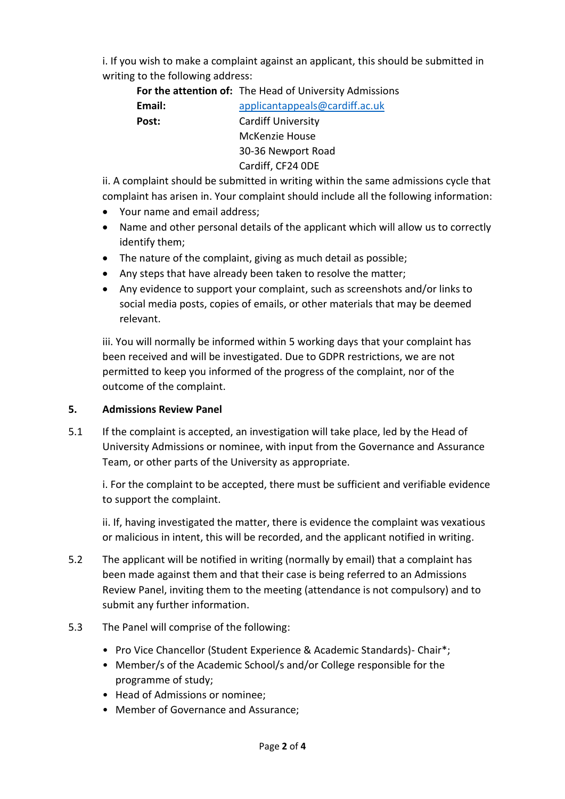i. If you wish to make a complaint against an applicant, this should be submitted in writing to the following address:

**For the attention of:** The Head of University Admissions

**Email:** [applicantappeals@cardiff.ac.uk](mailto:applicantappeals@cardiff.ac.uk) **Post:** Cardiff University McKenzie House 30-36 Newport Road Cardiff, CF24 0DE

ii. A complaint should be submitted in writing within the same admissions cycle that complaint has arisen in. Your complaint should include all the following information:

- Your name and email address;
- Name and other personal details of the applicant which will allow us to correctly identify them;
- The nature of the complaint, giving as much detail as possible;
- Any steps that have already been taken to resolve the matter;
- Any evidence to support your complaint, such as screenshots and/or links to social media posts, copies of emails, or other materials that may be deemed relevant.

iii. You will normally be informed within 5 working days that your complaint has been received and will be investigated. Due to GDPR restrictions, we are not permitted to keep you informed of the progress of the complaint, nor of the outcome of the complaint.

## **5. Admissions Review Panel**

5.1 If the complaint is accepted, an investigation will take place, led by the Head of University Admissions or nominee, with input from the Governance and Assurance Team, or other parts of the University as appropriate.

i. For the complaint to be accepted, there must be sufficient and verifiable evidence to support the complaint.

ii. If, having investigated the matter, there is evidence the complaint was vexatious or malicious in intent, this will be recorded, and the applicant notified in writing.

- 5.2 The applicant will be notified in writing (normally by email) that a complaint has been made against them and that their case is being referred to an Admissions Review Panel, inviting them to the meeting (attendance is not compulsory) and to submit any further information.
- 5.3 The Panel will comprise of the following:
	- Pro Vice Chancellor (Student Experience & Academic Standards)- Chair\*;
	- Member/s of the Academic School/s and/or College responsible for the programme of study;
	- Head of Admissions or nominee;
	- Member of Governance and Assurance;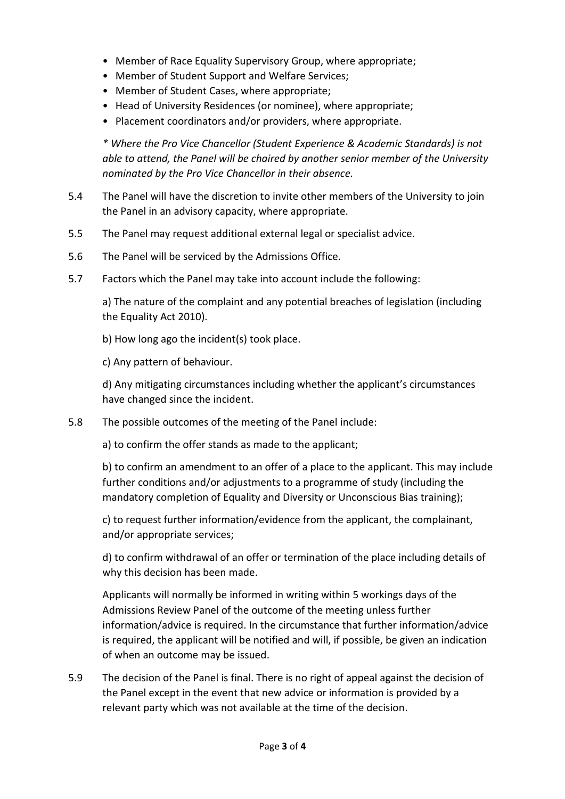- Member of Race Equality Supervisory Group, where appropriate;
- Member of Student Support and Welfare Services;
- Member of Student Cases, where appropriate;
- Head of University Residences (or nominee), where appropriate;
- Placement coordinators and/or providers, where appropriate.

*\* Where the Pro Vice Chancellor (Student Experience & Academic Standards) is not able to attend, the Panel will be chaired by another senior member of the University nominated by the Pro Vice Chancellor in their absence.*

- 5.4 The Panel will have the discretion to invite other members of the University to join the Panel in an advisory capacity, where appropriate.
- 5.5 The Panel may request additional external legal or specialist advice.
- 5.6 The Panel will be serviced by the Admissions Office.
- 5.7 Factors which the Panel may take into account include the following:

a) The nature of the complaint and any potential breaches of legislation (including the Equality Act 2010).

b) How long ago the incident(s) took place.

c) Any pattern of behaviour.

d) Any mitigating circumstances including whether the applicant's circumstances have changed since the incident.

5.8 The possible outcomes of the meeting of the Panel include:

a) to confirm the offer stands as made to the applicant;

b) to confirm an amendment to an offer of a place to the applicant. This may include further conditions and/or adjustments to a programme of study (including the mandatory completion of Equality and Diversity or Unconscious Bias training);

c) to request further information/evidence from the applicant, the complainant, and/or appropriate services;

d) to confirm withdrawal of an offer or termination of the place including details of why this decision has been made.

Applicants will normally be informed in writing within 5 workings days of the Admissions Review Panel of the outcome of the meeting unless further information/advice is required. In the circumstance that further information/advice is required, the applicant will be notified and will, if possible, be given an indication of when an outcome may be issued.

5.9 The decision of the Panel is final. There is no right of appeal against the decision of the Panel except in the event that new advice or information is provided by a relevant party which was not available at the time of the decision.